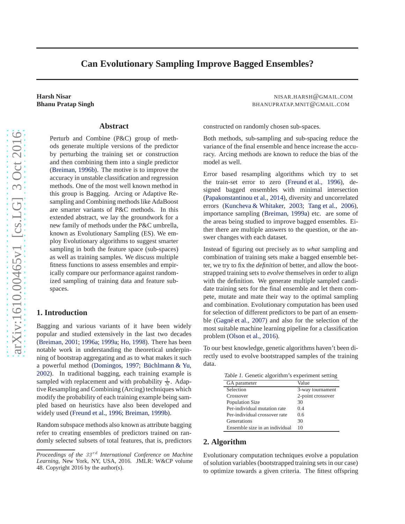# <span id="page-0-0"></span>**Can Evolutionary Sampling Improve Bagged Ensembles?**

#### **Abstract**

Perturb and Combine (P&C) group of methods generate multiple versions of the predictor by perturbing the training set or construction and then combining them into a single predictor [\(Breiman](#page-2-0), [1996b\)](#page-2-0). The motive is to improve the accuracy in unstable classification and regression methods. One of the most well known method in this group is Bagging. Arcing or Adaptive Resampling and Combining methods like AdaBoost are smarter variants of P&C methods. In this extended abstract, we lay the groundwork for a new family of methods under the P&C umbrella, known as Evolutionary Sampling (ES). We employ Evolutionary algorithms to suggest smarter sampling in both the feature space (sub-spaces) as well as training samples. We discuss multiple fitness functions to assess ensembles and empirically compare our performance against randomized sampling of training data and feature subspaces.

#### **1. Introduction**

Bagging and various variants of it have been widely popular and studied extensively in the last two decades [\(Breiman](#page-2-0), [2001](#page-2-0); [1996a;](#page-2-0) [1999a;](#page-2-0) [Ho,](#page-2-0) [1998\)](#page-2-0). There has been notable work in understanding the theoretical underpinning of bootstrap aggregating and as to what makes it such a powerful method [\(Domingos,](#page-2-0) [1997](#page-2-0); Büchlmann & Yu, [2002\)](#page-2-0). In traditional bagging, each training example is sampled with replacement and with probability  $\frac{1}{N}$ . Adaptive Resampling and Combining (Arcing) techniques which modify the probability of each training example being sampled based on heuristics have also been developed and widely used [\(Freund et al.](#page-2-0), [1996](#page-2-0); [Breiman,](#page-2-0) [1999b\)](#page-2-0).

Random subspace methods also known as attribute bagging refer to creating ensembles of predictors trained on randomly selected subsets of total features, that is, predictors

**Harsh Nisar** NISAR.HARSH@GMAIL.COM **Bhanu Pratap Singh Exercise 2.0 Automobile 2.0 Automobile 2.0 Automobile 2.0 BHANUPRATAP.MNIT@GMAIL.COM** 

constructed on randomly chosen sub-spaces.

Both methods, sub-sampling and sub-spacing reduce the variance of the final ensemble and hence increase the accuracy. Arcing methods are known to reduce the bias of the model as well.

Error based resampling algorithms which try to set the train-set error to zero [\(Freund et al.](#page-2-0), [1996\)](#page-2-0), designed bagged ensembles with minimal intersection [\(Papakonstantinou et al.](#page-2-0), [2014\)](#page-2-0), diversity and uncorrelated errors [\(Kuncheva & Whitaker](#page-2-0), [2003;](#page-2-0) [Tang et al.](#page-2-0), [2006\)](#page-2-0), importance sampling [\(Breiman,](#page-2-0) [1999a\)](#page-2-0) etc. are some of the areas being studied to improve bagged ensembles. Either there are multiple answers to the question, or the answer changes with each dataset.

Instead of figuring out precisely as to *what* sampling and combination of training sets make a bagged ensemble better, we try to fix the *definition* of better, and allow the bootstrapped training sets to *evolve* themselves in order to align with the definition. We generate multiple sampled candidate training sets for the final ensemble and let them compete, mutate and mate their way to the optimal sampling and combination. Evolutionary computation has been used for selection of different predictors to be part of an ensem-ble (Gagné et al., [2007\)](#page-2-0) and also for the selection of the most suitable machine learning pipeline for a classification problem [\(Olson et al.](#page-2-0), [2016](#page-2-0)).

To our best knowledge, genetic algorithms haven't been directly used to evolve bootstrapped samples of the training data.

Table 1. Genetic algorithm's experiment setting

| 3-way tournament  |
|-------------------|
| 2-point crossover |
|                   |
|                   |
|                   |
|                   |
|                   |
|                   |

#### **2. Algorithm**

Evolutionary computation techniques evolve a population of solution variables (bootstrapped training sets in our case) to optimize towards a given criteria. The fittest offspring

*Proceedings of the 33<sup>rd</sup> International Conference on Machine Learning*, New York, NY, USA, 2016. JMLR: W&CP volume 48. Copyright 2016 by the author(s).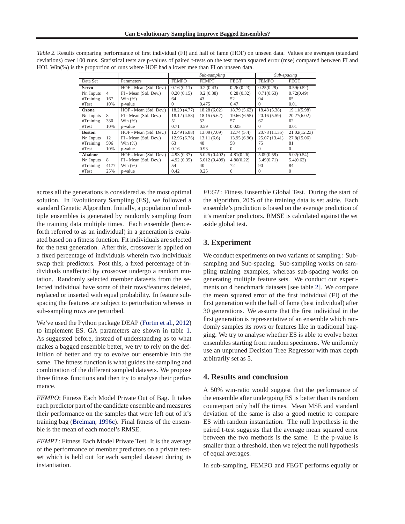|                |                |                        |              | Sub-sampling  |              | Sub-spacing   |              |
|----------------|----------------|------------------------|--------------|---------------|--------------|---------------|--------------|
| Data Set       |                | Parameters             | <b>FEMPO</b> | <b>FEMPT</b>  | <b>FEGT</b>  | <b>FEMPO</b>  | <b>FEGT</b>  |
| <b>Servo</b>   |                | HOF - Mean (Std. Dev.) | 0.16(0.11)   | 0.2(0.43)     | 0.26(0.23)   | 0.25(0.29)    | 0.59(0.52)   |
| Nr. Inputs     | $\overline{4}$ | FI - Mean (Std. Dev.)  | 0.20(0.15)   | 0.2(0.38)     | 0.28(0.32)   | 0.71(0.63)    | 0.72(0.49)   |
| #Training      | 167            | Win $(\%)$             | 64           | 43            | 52           | 94            | 65           |
| #Test          | 10%            | p-value                | $\Omega$     | 0.475         | 0.47         | 0             | 0.01         |
| Ozone          |                | HOF - Mean (Std. Dev.) | 18.20 (4.77) | 18.28(6.02)   | 18.79 (5.62) | 18.48 (5.38)  | 19.11(5.98)  |
| Nr. Inputs     | 8              | FI - Mean (Std. Dev.)  | 18.12 (4.58) | 18.15(5.62)   | 19.66(6.55)  | 20.16(5.59)   | 20.27(6.02)  |
| #Training      | 330            | Win $(%)$              | 51           | 52            | 57           | 67            | 62           |
| #Test          | 10%            | p-value                | 0.71         | 0.59          | 0.025        | $\Omega$      | 0.01         |
| <b>Boston</b>  |                | HOF - Mean (Std. Dev.) | 12.49(6.88)  | 13.09 (7.09)  | 12.74(5.4)   | 20.78 (11.35) | 21.02(12.23) |
| Nr. Inputs     | 12             | FI - Mean (Std. Dev.)  | 12.96(6.76)  | 13.11(6.6)    | 13.95 (6.96) | 25.07 (13.41) | 27.8(15.06)  |
| #Training      | 506            | Win $(%)$              | 63           | 48            | 58           | 75            | 81           |
| #Test          | 10%            | p-value                | 0.16         | 0.93          | $\Omega$     | $\Omega$      | $\Omega$     |
| <b>Abalone</b> |                | HOF - Mean (Std. Dev.) | 4.93(0.37)   | 5.025(0.402)  | 4.81(0.26)   | 5.09(0.59)    | 5.02(0.54)   |
| Nr. Inputs     | 8              | FI - Mean (Std. Dev.)  | 4.92(0.35)   | 5.012 (0.409) | 4.86(0.22)   | 5.49(0.71)    | 5.4(0.62)    |
| #Training      | 4177           | Win $(\%)$             | 54           | 40            | 72           | 90            | 84           |
| #Test          | 25%            | p-value                | 0.42         | 0.25          | $\Omega$     | 0             | $\Omega$     |

Table 2. Results comparing performance of first individual (FI) and hall of fame (HOF) on unseen data. Values are averages (standard deviations) over 100 runs. Statistical tests are p-values of paired t-tests on the test mean squared error (mse) compared between FI and HOI. Win(%) is the proportion of runs where HOF had a lower mse than FI on unseen data.

across all the generations is considered as the most optimal solution. In Evolutionary Sampling (ES), we followed a standard Genetic Algorithm. Initially, a population of multiple ensembles is generated by randomly sampling from the training data multiple times. Each ensemble (henceforth referred to as an individual) in a generation is evaluated based on a fitness function. Fit individuals are selected for the next generation. After this, crossover is applied on a fixed percentage of individuals wherein two individuals swap their predictors. Post this, a fixed percentage of individuals unaffected by crossover undergo a random mutation. Randomly selected member datasets from the selected individual have some of their rows/features deleted, replaced or inserted with equal probability. In feature subspacing the features are subject to perturbation whereas in sub-sampling rows are perturbed.

We've used the Python package DEAP [\(Fortin et al.](#page-2-0), [2012](#page-2-0)) to implement ES. GA parameters are shown in table [1.](#page-0-0) As suggested before, instead of understanding as to what makes a bagged ensemble better, we try to rely on the definition of better and try to evolve our ensemble into the same. The fitness function is what guides the sampling and combination of the different sampled datasets. We propose three fitness functions and then try to analyse their performance.

*FEMPO*: Fitness Each Model Private Out of Bag. It takes each predictor part of the candidate ensemble and measures their performance on the samples that were left out of it's training bag [\(Breiman](#page-2-0), [1996c\)](#page-2-0). Final fitness of the ensemble is the mean of each model's RMSE.

*FEMPT*: Fitness Each Model Private Test. It is the average of the performance of member predictors on a private testset which is held out for each sampled dataset during its instantiation.

*FEGT*: Fitness Ensemble Global Test. During the start of the algorithm, 20% of the training data is set aside. Each ensemble's prediction is based on the average prediction of it's member predictors. RMSE is calculated against the set aside global test.

## **3. Experiment**

We conduct experiments on two variants of sampling : Subsampling and Sub-spacing. Sub-sampling works on sampling training examples, whereas sub-spacing works on generating multiple feature sets. We conduct our experiments on 4 benchmark datasets [see table 2]. We compare the mean squared error of the first individual (FI) of the first generation with the hall of fame (best individual) after 30 generations. We assume that the first individual in the first generation is representative of an ensemble which randomly samples its rows or features like in traditional bagging. We try to analyse whether ES is able to evolve better ensembles starting from random specimens. We uniformly use an unpruned Decision Tree Regressor with max depth arbitrarily set as 5.

#### **4. Results and conclusion**

A 50% win-ratio would suggest that the performance of the ensemble after undergoing ES is better than its random counterpart only half the times. Mean MSE and standard deviation of the same is also a good metric to compare ES with random instantiation. The null hypothesis in the paired t-test suggests that the average mean squared error between the two methods is the same. If the p-value is smaller than a threshold, then we reject the null hypothesis of equal averages.

In sub-sampling, FEMPO and FEGT performs equally or